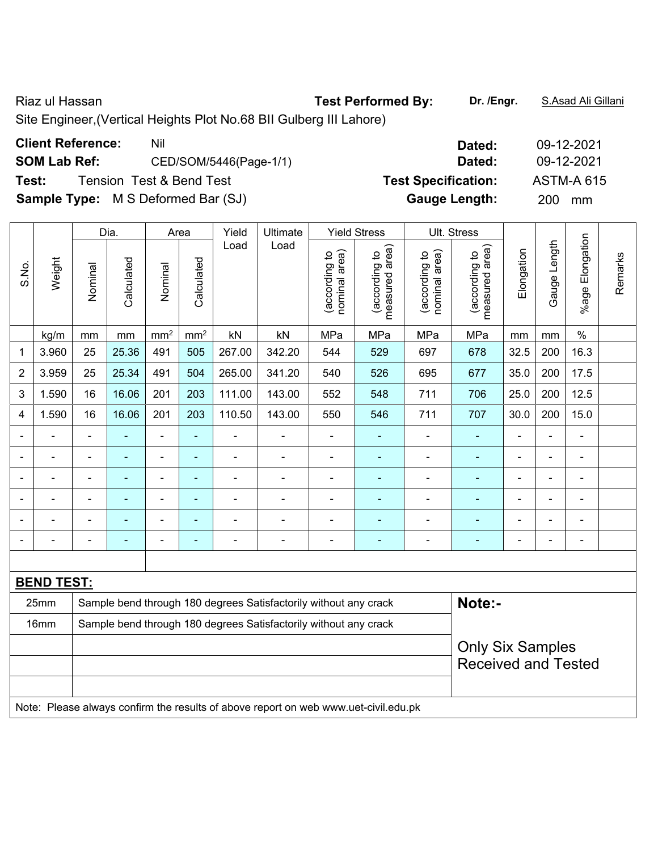Riaz ul Hassan **Test Performed By: Dr. /Engr.** S.Asad Ali Gillani

Site Engineer,(Vertical Heights Plot No.68 BII Gulberg III Lahore)

| <b>Client Reference:</b> | Nil                                       | Dated:                     | 09-12-2021        |
|--------------------------|-------------------------------------------|----------------------------|-------------------|
| <b>SOM Lab Ref:</b>      | CED/SOM/5446(Page-1/1)                    | Dated:                     | 09-12-2021        |
| Test:                    | <b>Tension Test &amp; Bend Test</b>       | <b>Test Specification:</b> | <b>ASTM-A 615</b> |
|                          | <b>Sample Type:</b> M S Deformed Bar (SJ) | <b>Gauge Length:</b>       | <b>200</b><br>mm  |

|                          |                   |                | Dia.           |                              | Area          | Yield                    | Ultimate                                                         |                                | <b>Yield Stress</b>             |                                | Ult. Stress                     |                |                |                 |         |  |
|--------------------------|-------------------|----------------|----------------|------------------------------|---------------|--------------------------|------------------------------------------------------------------|--------------------------------|---------------------------------|--------------------------------|---------------------------------|----------------|----------------|-----------------|---------|--|
| S.No.                    | Weight            | Nominal        | Calculated     | Nominal                      | Calculated    | Load                     | Load                                                             | nominal area)<br>(according to | measured area)<br>(according to | nominal area)<br>(according to | measured area)<br>(according to | Elongation     | Gauge Length   | %age Elongation | Remarks |  |
|                          | kg/m              | mm             | mm             | $\text{mm}^2$                | $\text{mm}^2$ | kN                       | kN                                                               | MPa                            | MPa                             | MPa                            | MPa                             | mm             | mm             | $\%$            |         |  |
| 1                        | 3.960             | 25             | 25.36          | 491                          | 505           | 267.00                   | 342.20                                                           | 544                            | 529                             | 697                            | 678                             | 32.5           | 200            | 16.3            |         |  |
| $\overline{2}$           | 3.959             | 25             | 25.34          | 491                          | 504           | 265.00                   | 341.20                                                           | 540                            | 526                             | 695                            | 677                             | 35.0           | 200            | 17.5            |         |  |
| 3                        | 1.590             | 16             | 16.06          | 201                          | 203           | 111.00                   | 143.00                                                           | 552                            | 548                             | 711                            | 706                             | 25.0           | 200            | 12.5            |         |  |
| 4                        | 1.590             | 16             | 16.06          | 201                          | 203           | 110.50                   | 143.00                                                           | 550                            | 546                             | 711                            | 707                             | 30.0           | 200            | 15.0            |         |  |
| $\blacksquare$           |                   | $\blacksquare$ |                | $\blacksquare$               | ä,            | $\blacksquare$           | $\blacksquare$                                                   | $\blacksquare$                 | ۰                               | $\blacksquare$                 | $\blacksquare$                  |                | $\blacksquare$ | ä,              |         |  |
|                          |                   |                |                | ä,                           | ۰             | $\overline{\phantom{0}}$ |                                                                  | $\blacksquare$                 | ä,                              | $\blacksquare$                 |                                 |                | Ē,             | $\blacksquare$  |         |  |
| $\blacksquare$           | $\blacksquare$    | $\blacksquare$ | $\blacksquare$ | $\qquad \qquad \blacksquare$ | ÷,            | $\blacksquare$           | $\blacksquare$                                                   | $\blacksquare$                 | $\blacksquare$                  | $\blacksquare$                 | $\blacksquare$                  | $\blacksquare$ | $\blacksquare$ | $\blacksquare$  |         |  |
|                          |                   |                |                | ÷                            | ۰             |                          |                                                                  |                                | ۰                               | $\blacksquare$                 |                                 |                | $\blacksquare$ | $\blacksquare$  |         |  |
|                          |                   |                |                | $\overline{a}$               | ۰             |                          |                                                                  | ٠                              | ۰                               | ۰                              |                                 |                | ÷              | ٠               |         |  |
| $\overline{\phantom{a}}$ |                   | $\blacksquare$ | $\blacksquare$ | $\blacksquare$               | ÷             | $\overline{a}$           | $\overline{\phantom{0}}$                                         | $\blacksquare$                 | $\blacksquare$                  | ÷                              |                                 | $\blacksquare$ | Ē,             | $\blacksquare$  |         |  |
|                          |                   |                |                |                              |               |                          |                                                                  |                                |                                 |                                |                                 |                |                |                 |         |  |
|                          | <b>BEND TEST:</b> |                |                |                              |               |                          |                                                                  |                                |                                 |                                |                                 |                |                |                 |         |  |
|                          | 25mm              |                |                |                              |               |                          | Sample bend through 180 degrees Satisfactorily without any crack |                                |                                 |                                | Note:-                          |                |                |                 |         |  |
|                          | 16mm              |                |                |                              |               |                          | Sample bend through 180 degrees Satisfactorily without any crack |                                |                                 |                                |                                 |                |                |                 |         |  |
|                          |                   |                |                |                              |               |                          |                                                                  |                                |                                 |                                | <b>Only Six Samples</b>         |                |                |                 |         |  |
|                          |                   |                |                |                              |               |                          |                                                                  |                                |                                 |                                | <b>Received and Tested</b>      |                |                |                 |         |  |
|                          |                   |                |                |                              |               |                          |                                                                  |                                |                                 |                                |                                 |                |                |                 |         |  |

Note: Please always confirm the results of above report on web www.uet-civil.edu.pk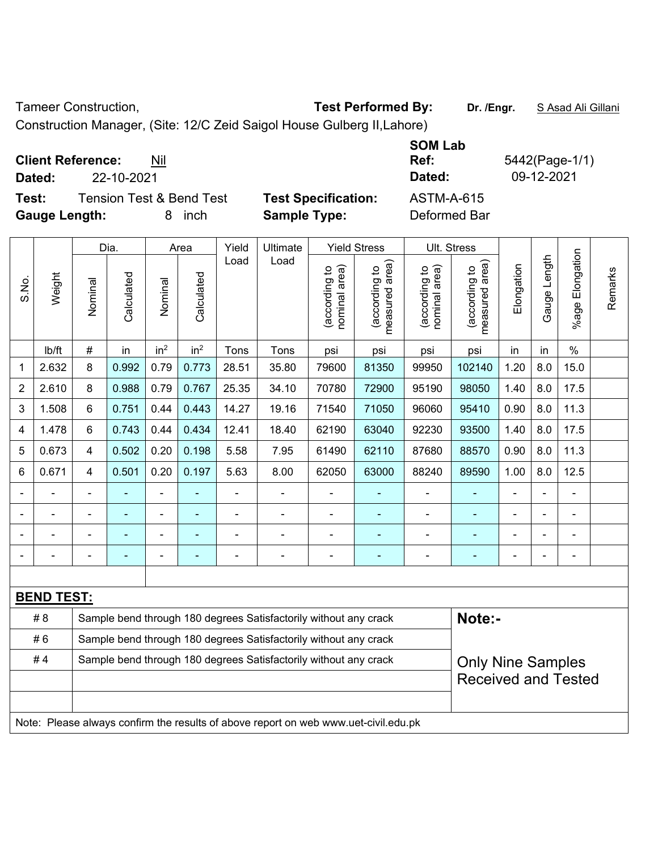Tameer Construction, **Test Performed By:** Dr. /Engr. **SAsad Ali Gillani** 

Construction Manager, (Site: 12/C Zeid Saigol House Gulberg II,Lahore)

| Dated:               | <b>Client Reference:</b><br>22-10-2021 | Nil                                 |                            | <b>SOM Lab</b><br>Ref:<br>Dated: | 5442(Page-1/1)<br>09-12-2021 |
|----------------------|----------------------------------------|-------------------------------------|----------------------------|----------------------------------|------------------------------|
| Test:                |                                        | <b>Tension Test &amp; Bend Test</b> | <b>Test Specification:</b> | <b>ASTM-A-615</b>                |                              |
| <b>Gauge Length:</b> |                                        | inch                                | <b>Sample Type:</b>        | Deformed Bar                     |                              |

|       |                                                                                     |                         | Dia.                                                             |                 | Area            | Yield |                                                                  | Ult. Stress                   |                                                        |                                |                                             |            |              |                       |         |
|-------|-------------------------------------------------------------------------------------|-------------------------|------------------------------------------------------------------|-----------------|-----------------|-------|------------------------------------------------------------------|-------------------------------|--------------------------------------------------------|--------------------------------|---------------------------------------------|------------|--------------|-----------------------|---------|
| S.No. | Weight                                                                              | Nominal                 | Calculated                                                       | Nominal         | Calculated      | Load  | Ultimate<br>Load                                                 | nominal area)<br>according to | <b>Yield Stress</b><br>measured area)<br>(according to | nominal area)<br>(according to | (according to<br>neasured area)<br>measured | Elongation | Gauge Length | Elongation<br>$%$ age | Remarks |
|       | lb/ft                                                                               | #                       | in                                                               | in <sup>2</sup> | in <sup>2</sup> | Tons  | Tons                                                             | psi                           | psi                                                    | psi                            | psi                                         | in         | in           | $\%$                  |         |
| 1     | 2.632                                                                               | 8                       | 0.992                                                            | 0.79            | 0.773           | 28.51 | 35.80                                                            | 79600                         | 81350                                                  | 99950                          | 102140                                      | 1.20       | 8.0          | 15.0                  |         |
| 2     | 2.610                                                                               | 8                       | 0.988                                                            | 0.79            | 0.767           | 25.35 | 34.10                                                            | 70780                         | 72900                                                  | 95190                          | 98050                                       | 1.40       | 8.0          | 17.5                  |         |
| 3     | 1.508                                                                               | $6\phantom{1}$          | 0.751                                                            | 0.44            | 0.443           | 14.27 | 19.16                                                            | 71540                         | 71050                                                  | 96060                          | 95410                                       | 0.90       | 8.0          | 11.3                  |         |
| 4     | 1.478                                                                               | 6                       | 0.743                                                            | 0.44            | 0.434           | 12.41 | 18.40                                                            | 62190                         | 63040                                                  | 92230                          | 93500                                       | 1.40       | 8.0          | 17.5                  |         |
| 5     | 0.673                                                                               | $\overline{\mathbf{4}}$ | 0.502                                                            | 0.20            | 0.198           | 5.58  | 7.95                                                             | 61490                         | 62110                                                  | 87680                          | 88570                                       | 0.90       | 8.0          | 11.3                  |         |
| 6     | 0.671                                                                               | $\overline{\mathbf{4}}$ | 0.501                                                            | 0.20            | 0.197           | 5.63  | 8.00                                                             | 62050                         | 63000                                                  | 88240                          | 89590                                       | 1.00       | 8.0          | 12.5                  |         |
|       |                                                                                     |                         |                                                                  |                 |                 |       |                                                                  |                               |                                                        |                                |                                             |            |              |                       |         |
|       |                                                                                     |                         |                                                                  | $\blacksquare$  |                 |       |                                                                  | L,                            |                                                        |                                |                                             |            |              |                       |         |
|       |                                                                                     |                         |                                                                  | $\overline{a}$  |                 |       |                                                                  |                               |                                                        |                                |                                             |            |              |                       |         |
|       |                                                                                     |                         |                                                                  | ۰               |                 |       | ÷                                                                | $\blacksquare$                |                                                        | $\blacksquare$                 |                                             | ä,         |              | $\blacksquare$        |         |
|       |                                                                                     |                         |                                                                  |                 |                 |       |                                                                  |                               |                                                        |                                |                                             |            |              |                       |         |
|       | <b>BEND TEST:</b>                                                                   |                         |                                                                  |                 |                 |       |                                                                  |                               |                                                        |                                |                                             |            |              |                       |         |
|       | #8                                                                                  |                         |                                                                  |                 |                 |       | Sample bend through 180 degrees Satisfactorily without any crack |                               |                                                        |                                | Note:-                                      |            |              |                       |         |
|       | #6                                                                                  |                         | Sample bend through 180 degrees Satisfactorily without any crack |                 |                 |       |                                                                  |                               |                                                        |                                |                                             |            |              |                       |         |
|       | #4                                                                                  |                         |                                                                  |                 |                 |       | Sample bend through 180 degrees Satisfactorily without any crack |                               |                                                        |                                | <b>Only Nine Samples</b>                    |            |              |                       |         |
|       |                                                                                     |                         |                                                                  |                 |                 |       |                                                                  |                               |                                                        |                                | <b>Received and Tested</b>                  |            |              |                       |         |
|       |                                                                                     |                         |                                                                  |                 |                 |       |                                                                  |                               |                                                        |                                |                                             |            |              |                       |         |
|       | Note: Please always confirm the results of above report on web www.uet-civil.edu.pk |                         |                                                                  |                 |                 |       |                                                                  |                               |                                                        |                                |                                             |            |              |                       |         |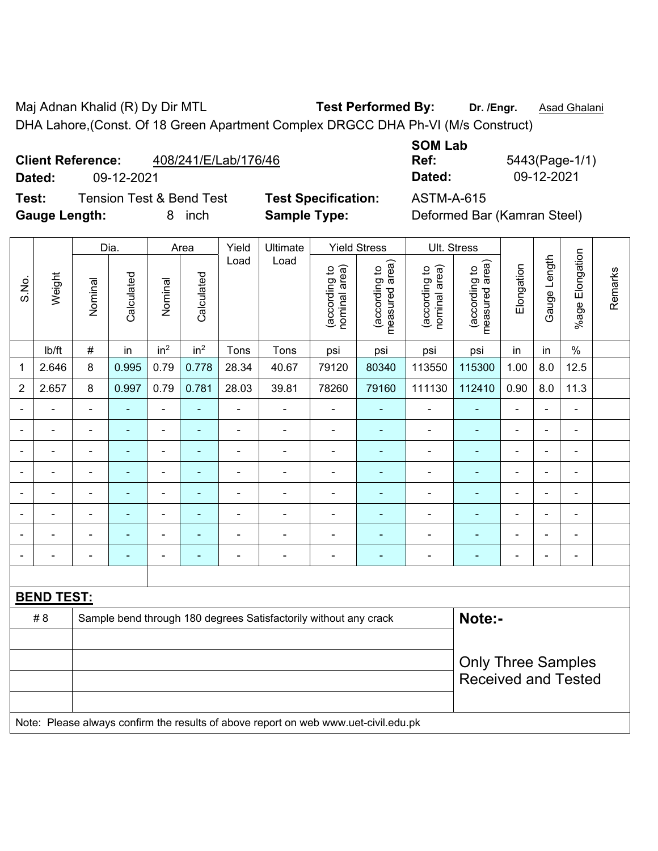Maj Adnan Khalid (R) Dy Dir MTL **Test Performed By:** Dr. /Engr. **Asad Ghalani** DHA Lahore,(Const. Of 18 Green Apartment Complex DRGCC DHA Ph-VI (M/s Construct)

## **Client Reference:** 408/241/E/Lab/176/46

**Test:** Tension Test & Bend Test **Test Specification:** ASTM-A-615 **Gauge Length:** 8 inch **Sample Type:** Deformed Bar (Kamran Steel)

**SOM Lab Ref:** 5443(Page-1/1) **Dated:** 09-12-2021 **Dated:** 09-12-2021

|                          |                          |                | Dia.           |                 | Area            | Yield          | Ultimate                                                                            |                                | <b>Yield Stress</b>             | Ult. Stress                    |                                                         |                |                |                 |         |
|--------------------------|--------------------------|----------------|----------------|-----------------|-----------------|----------------|-------------------------------------------------------------------------------------|--------------------------------|---------------------------------|--------------------------------|---------------------------------------------------------|----------------|----------------|-----------------|---------|
| S.No.                    | Weight                   | Nominal        | Calculated     | Nominal         | Calculated      | Load           | Load                                                                                | nominal area)<br>(according to | (according to<br>measured area) | (according to<br>nominal area) | (according to<br>measured area)                         | Elongation     | Gauge Length   | %age Elongation | Remarks |
|                          | Ib/ft                    | $\#$           | in             | in <sup>2</sup> | in <sup>2</sup> | Tons           | Tons                                                                                | psi                            | psi                             | psi                            | psi                                                     | in             | in             | $\frac{0}{0}$   |         |
| 1                        | 2.646                    | 8              | 0.995          | 0.79            | 0.778           | 28.34          | 40.67                                                                               | 79120                          | 80340                           | 113550                         | 115300                                                  | 1.00           | 8.0            | 12.5            |         |
| $\overline{2}$           | 2.657                    | 8              | 0.997          | 0.79            | 0.781           | 28.03          | 39.81                                                                               | 78260                          | 79160                           | 111130                         | 112410                                                  | 0.90           | 8.0            | 11.3            |         |
|                          |                          |                |                |                 |                 |                | ÷,                                                                                  |                                |                                 | ä,                             |                                                         | L,             | ä,             | ÷,              |         |
|                          |                          |                | ۳              | ÷               |                 | $\blacksquare$ | $\blacksquare$                                                                      | $\blacksquare$                 |                                 | $\blacksquare$                 | ÷                                                       | -              | $\blacksquare$ | ۰               |         |
| $\overline{\phantom{0}}$ | $\overline{\phantom{0}}$ | $\blacksquare$ | $\blacksquare$ | ÷               | ٠               | $\blacksquare$ | $\overline{\phantom{a}}$                                                            | $\blacksquare$                 | $\blacksquare$                  | ÷,                             | $\blacksquare$                                          | $\blacksquare$ | $\blacksquare$ | ÷,              |         |
|                          | $\blacksquare$           | ÷              | $\blacksquare$ | ÷               |                 | $\blacksquare$ | $\blacksquare$                                                                      | ÷                              | ٠                               | $\blacksquare$                 | $\blacksquare$                                          | Ē,             | $\blacksquare$ | ÷,              |         |
|                          |                          |                | ä,             | $\blacksquare$  |                 |                | $\blacksquare$                                                                      | ÷                              | $\blacksquare$                  | ä,                             | ä,                                                      |                | ä,             | $\blacksquare$  |         |
|                          |                          |                |                |                 |                 |                |                                                                                     |                                |                                 |                                |                                                         |                | $\blacksquare$ |                 |         |
|                          |                          |                |                | $\blacksquare$  |                 |                |                                                                                     | $\blacksquare$                 |                                 | L.                             |                                                         | $\blacksquare$ | L.             | $\blacksquare$  |         |
| $\blacksquare$           |                          |                | $\blacksquare$ | ÷               |                 | $\blacksquare$ | $\blacksquare$                                                                      | ä,                             | $\blacksquare$                  | ä,                             | ÷                                                       | ä,             | $\blacksquare$ | ÷,              |         |
|                          |                          |                |                |                 |                 |                |                                                                                     |                                |                                 |                                |                                                         |                |                |                 |         |
|                          | <b>BEND TEST:</b>        |                |                |                 |                 |                |                                                                                     |                                |                                 |                                |                                                         |                |                |                 |         |
|                          | #8                       |                |                |                 |                 |                | Sample bend through 180 degrees Satisfactorily without any crack                    |                                |                                 |                                | Note:-                                                  |                |                |                 |         |
|                          |                          |                |                |                 |                 |                |                                                                                     |                                |                                 |                                |                                                         |                |                |                 |         |
|                          |                          |                |                |                 |                 |                |                                                                                     |                                |                                 |                                | <b>Only Three Samples</b><br><b>Received and Tested</b> |                |                |                 |         |
|                          |                          |                |                |                 |                 |                |                                                                                     |                                |                                 |                                |                                                         |                |                |                 |         |
|                          |                          |                |                |                 |                 |                | Note: Please always confirm the results of above report on web www.uet-civil.edu.pk |                                |                                 |                                |                                                         |                |                |                 |         |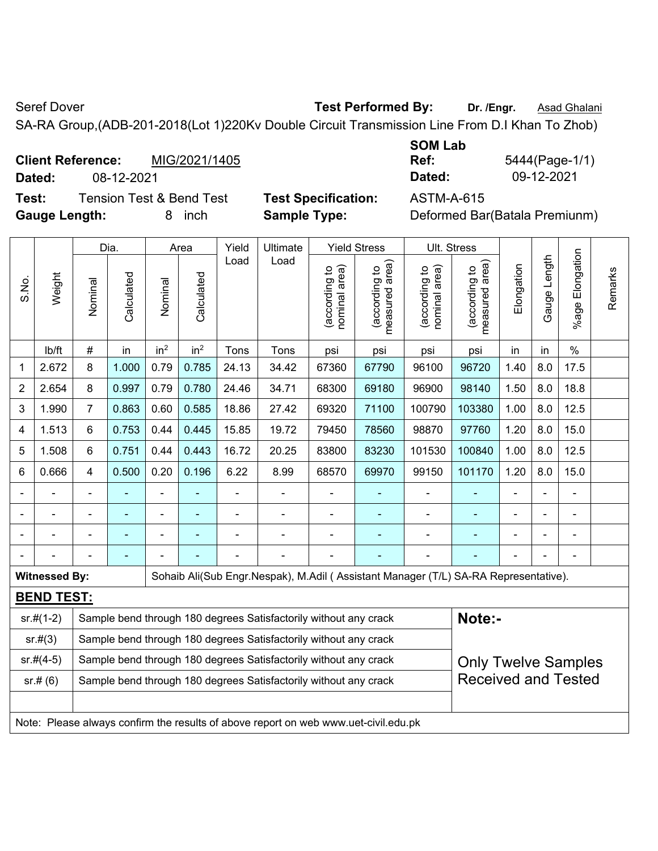Seref Dover **Test Performed By:** Dr. /Engr. **Asad Ghalani Seref Dover** 

SA-RA Group,(ADB-201-2018(Lot 1)220Kv Double Circuit Transmission Line From D.I Khan To Zhob)

| <b>Client Reference:</b> | MIG/2021/1405 | Ref:   | 5444(Page-1/ |
|--------------------------|---------------|--------|--------------|
| Dated:                   | 08-12-2021    | Dated: | 09-12-2021   |

**Test:** Tension Test & Bend Test **Test Specification:** ASTM-A-615 **Gauge Length:** 8 inch **Sample Type:** Deformed Bar(Batala Premiunm)

| <b>SOM Lab</b> |                |
|----------------|----------------|
| Ref:           | 5444(Page-1/1) |
| Dated:         | 09-12-2021     |

|                |                      |                                                                                                | Dia.<br>Yield<br>Ultimate<br><b>Yield Stress</b><br>Ult. Stress<br>Area                            |                 |                 |                |                                                                                     |                                |                                             |                                |                                             |                |              |                    |         |
|----------------|----------------------|------------------------------------------------------------------------------------------------|----------------------------------------------------------------------------------------------------|-----------------|-----------------|----------------|-------------------------------------------------------------------------------------|--------------------------------|---------------------------------------------|--------------------------------|---------------------------------------------|----------------|--------------|--------------------|---------|
| S.No.          | Weight               | Nominal                                                                                        | Calculated                                                                                         | Nominal         | Calculated      | Load           | Load                                                                                | nominal area)<br>(according to | (according to<br>measured area)<br>measured | nominal area)<br>(according to | (according to<br>measured area)<br>measured | Elongation     | Gauge Length | Elongation<br>%age | Remarks |
|                | lb/ft                | #                                                                                              | in                                                                                                 | in <sup>2</sup> | in <sup>2</sup> | Tons           | Tons                                                                                | psi                            | psi                                         | psi                            | psi                                         | in             | in           | $\%$               |         |
| 1              | 2.672                | 8                                                                                              | 1.000                                                                                              | 0.79            | 0.785           | 24.13          | 34.42                                                                               | 67360                          | 67790                                       | 96100                          | 96720                                       | 1.40           | 8.0          | 17.5               |         |
| $\overline{c}$ | 2.654                | 8                                                                                              | 0.997                                                                                              | 0.79            | 0.780           | 24.46          | 34.71                                                                               | 68300                          | 69180                                       | 96900                          | 98140                                       | 1.50           | 8.0          | 18.8               |         |
| 3              | 1.990                | $\overline{7}$                                                                                 | 0.863                                                                                              | 0.60            | 0.585           | 18.86          | 27.42                                                                               | 69320                          | 71100                                       | 100790                         | 103380                                      | 1.00           | 8.0          | 12.5               |         |
| 4              | 1.513                | 6                                                                                              | 0.753                                                                                              | 0.44            | 0.445           | 15.85          | 19.72                                                                               | 79450                          | 78560                                       | 98870                          | 97760                                       | 1.20           | 8.0          | 15.0               |         |
| 5              | 1.508                | 6                                                                                              | 0.751                                                                                              | 0.44            | 0.443           | 16.72          | 20.25                                                                               | 83800                          | 83230                                       | 101530                         | 100840                                      | 1.00           | 8.0          | 12.5               |         |
| 6              | 0.666                | 4                                                                                              | 0.196<br>1.20<br>8.0<br>0.500<br>0.20<br>6.22<br>8.99<br>68570<br>69970<br>99150<br>101170<br>15.0 |                 |                 |                |                                                                                     |                                |                                             |                                |                                             |                |              |                    |         |
|                | $\blacksquare$       | $\blacksquare$                                                                                 | $\blacksquare$                                                                                     | ÷               |                 | $\blacksquare$ | $\blacksquare$                                                                      | $\blacksquare$                 | ۰                                           | $\overline{\phantom{a}}$       | ÷                                           | $\blacksquare$ |              | $\blacksquare$     |         |
|                |                      |                                                                                                |                                                                                                    |                 |                 |                | ä,                                                                                  | L,                             |                                             |                                |                                             |                |              | ÷                  |         |
|                |                      |                                                                                                |                                                                                                    |                 |                 |                |                                                                                     |                                |                                             |                                |                                             |                |              |                    |         |
|                |                      |                                                                                                |                                                                                                    |                 |                 |                |                                                                                     | $\blacksquare$                 |                                             |                                |                                             |                |              |                    |         |
|                | <b>Witnessed By:</b> |                                                                                                |                                                                                                    |                 |                 |                | Sohaib Ali(Sub Engr.Nespak), M.Adil (Assistant Manager (T/L) SA-RA Representative). |                                |                                             |                                |                                             |                |              |                    |         |
|                | <b>BEND TEST:</b>    |                                                                                                |                                                                                                    |                 |                 |                |                                                                                     |                                |                                             |                                |                                             |                |              |                    |         |
|                | $sr.#(1-2)$          |                                                                                                |                                                                                                    |                 |                 |                | Sample bend through 180 degrees Satisfactorily without any crack                    |                                |                                             |                                | Note:-                                      |                |              |                    |         |
|                | sr.#(3)              |                                                                                                |                                                                                                    |                 |                 |                | Sample bend through 180 degrees Satisfactorily without any crack                    |                                |                                             |                                |                                             |                |              |                    |         |
|                | $sr.#(4-5)$          | Sample bend through 180 degrees Satisfactorily without any crack<br><b>Only Twelve Samples</b> |                                                                                                    |                 |                 |                |                                                                                     |                                |                                             |                                |                                             |                |              |                    |         |
|                | sr.# (6)             |                                                                                                |                                                                                                    |                 |                 |                | Sample bend through 180 degrees Satisfactorily without any crack                    |                                |                                             |                                | <b>Received and Tested</b>                  |                |              |                    |         |
|                |                      |                                                                                                |                                                                                                    |                 |                 |                |                                                                                     |                                |                                             |                                |                                             |                |              |                    |         |
|                |                      | Note: Please always confirm the results of above report on web www.uet-civil.edu.pk            |                                                                                                    |                 |                 |                |                                                                                     |                                |                                             |                                |                                             |                |              |                    |         |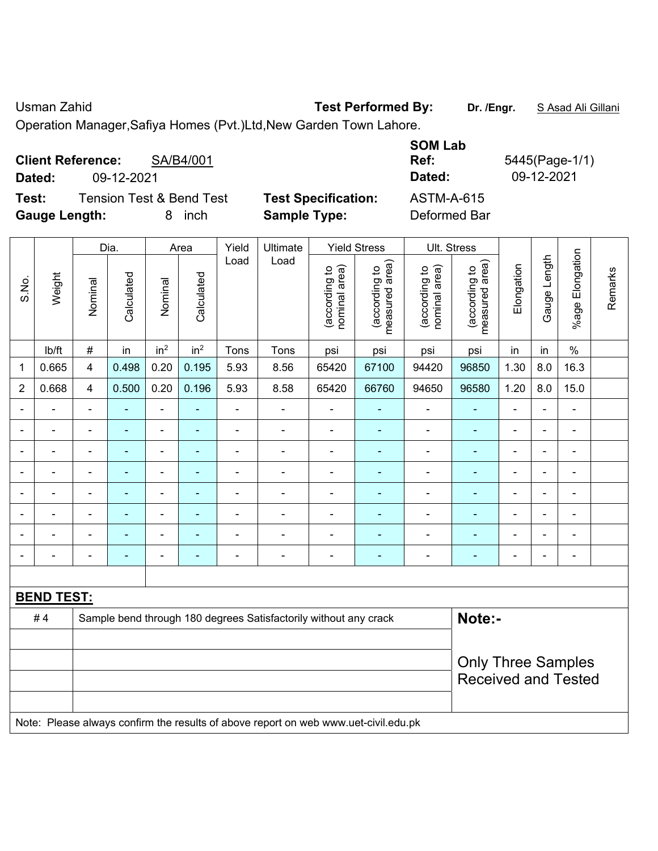Usman Zahid **Test Performed By:** Dr. /Engr. **SAsad Ali Gillani** 

Operation Manager,Safiya Homes (Pvt.)Ltd,New Garden Town Lahore.

| <b>Client Reference:</b><br>SA/B4/001<br>09-12-2021<br>Dated:                |                                                   | <b>SOM Lab</b><br>Ref:<br>Dated:  | 5445(Page-1/1)<br>09-12-2021 |
|------------------------------------------------------------------------------|---------------------------------------------------|-----------------------------------|------------------------------|
| Test:<br><b>Tension Test &amp; Bend Test</b><br><b>Gauge Length:</b><br>inch | <b>Test Specification:</b><br><b>Sample Type:</b> | <b>ASTM-A-615</b><br>Deformed Bar |                              |

|                |                   |                | Dia.                     |                          | Area            | Yield          | Ultimate                                                                            |                                | <b>Yield Stress</b>             |                                | Ult. Stress                                             |                          |                |                              |         |
|----------------|-------------------|----------------|--------------------------|--------------------------|-----------------|----------------|-------------------------------------------------------------------------------------|--------------------------------|---------------------------------|--------------------------------|---------------------------------------------------------|--------------------------|----------------|------------------------------|---------|
| S.No.          | Weight            | Nominal        | Calculated               | Nominal                  | Calculated      | Load           | Load                                                                                | (according to<br>nominal area) | (according to<br>measured area) | nominal area)<br>(according to | (according to<br>measured area)                         | Elongation               | Gauge Length   | Elongation<br>$%$ age        | Remarks |
|                | lb/ft             | $\#$           | in                       | in <sup>2</sup>          | in <sup>2</sup> | Tons           | Tons                                                                                | psi                            | psi                             | psi                            | psi                                                     | in                       | in             | $\frac{0}{0}$                |         |
| 1              | 0.665             | 4              | 0.498                    | 0.20                     | 0.195           | 5.93           | 8.56                                                                                | 65420                          | 67100                           | 94420                          | 96850                                                   | 1.30                     | 8.0            | 16.3                         |         |
| $\overline{2}$ | 0.668             | 4              | 0.500                    | 0.20                     | 0.196           | 5.93           | 8.58                                                                                | 65420                          | 66760                           | 94650                          | 96580                                                   | 1.20                     | 8.0            | 15.0                         |         |
| $\blacksquare$ | ä,                | $\blacksquare$ | $\blacksquare$           | $\blacksquare$           | $\blacksquare$  | ä,             | $\blacksquare$                                                                      | ä,                             | $\blacksquare$                  | ä,                             | $\blacksquare$                                          | ä,                       | $\blacksquare$ | ä,                           |         |
| $\blacksquare$ | $\blacksquare$    | $\blacksquare$ | $\blacksquare$           | $\blacksquare$           | $\blacksquare$  | $\blacksquare$ | $\frac{1}{2}$                                                                       | $\blacksquare$                 | $\blacksquare$                  | $\overline{\phantom{a}}$       | $\blacksquare$                                          | $\overline{\phantom{a}}$ | $\blacksquare$ | $\qquad \qquad \blacksquare$ |         |
|                | ä,                | ÷,             | $\blacksquare$           | $\blacksquare$           | $\blacksquare$  | $\blacksquare$ | ÷                                                                                   | ä,                             | ٠                               | $\blacksquare$                 | $\blacksquare$                                          | $\blacksquare$           | i.             | $\blacksquare$               |         |
|                | $\blacksquare$    | $\blacksquare$ | ÷                        | $\overline{a}$           | ٠               | $\blacksquare$ | ÷                                                                                   | $\blacksquare$                 | $\blacksquare$                  | $\blacksquare$                 | $\blacksquare$                                          | $\blacksquare$           |                | $\blacksquare$               |         |
|                | $\blacksquare$    | ÷              | $\overline{\phantom{0}}$ | $\blacksquare$           |                 |                | ÷                                                                                   | ä,                             |                                 | ä,                             | $\blacksquare$                                          | $\blacksquare$           |                | $\blacksquare$               |         |
|                |                   | $\blacksquare$ |                          | $\overline{\phantom{0}}$ |                 |                | $\blacksquare$                                                                      |                                |                                 |                                |                                                         |                          |                | ۰                            |         |
|                | $\blacksquare$    | $\blacksquare$ |                          |                          |                 |                |                                                                                     | $\blacksquare$                 |                                 |                                |                                                         |                          |                | $\blacksquare$               |         |
| $\blacksquare$ | $\blacksquare$    | ä,             | ۰                        | $\overline{a}$           | ۰               | $\blacksquare$ | ÷                                                                                   | $\blacksquare$                 | $\blacksquare$                  | $\blacksquare$                 | $\blacksquare$                                          | $\blacksquare$           | $\blacksquare$ | ۰                            |         |
|                |                   |                |                          |                          |                 |                |                                                                                     |                                |                                 |                                |                                                         |                          |                |                              |         |
|                | <b>BEND TEST:</b> |                |                          |                          |                 |                |                                                                                     |                                |                                 |                                |                                                         |                          |                |                              |         |
|                | #4                |                |                          |                          |                 |                | Sample bend through 180 degrees Satisfactorily without any crack                    |                                |                                 |                                | Note:-                                                  |                          |                |                              |         |
|                |                   |                |                          |                          |                 |                |                                                                                     |                                |                                 |                                |                                                         |                          |                |                              |         |
|                |                   |                |                          |                          |                 |                |                                                                                     |                                |                                 |                                | <b>Only Three Samples</b><br><b>Received and Tested</b> |                          |                |                              |         |
|                |                   |                |                          |                          |                 |                |                                                                                     |                                |                                 |                                |                                                         |                          |                |                              |         |
|                |                   |                |                          |                          |                 |                | Note: Please always confirm the results of above report on web www.uet-civil.edu.pk |                                |                                 |                                |                                                         |                          |                |                              |         |